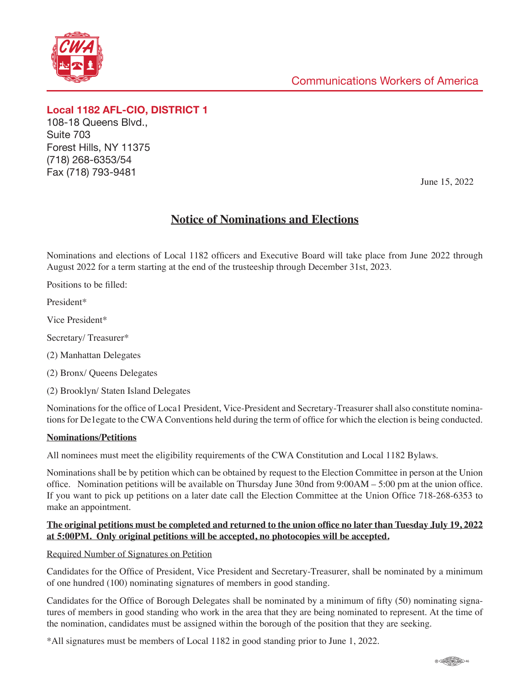

**Local 1182 AFL-CIO, DISTRICT 1** 108-18 Queens Blvd., Suite 703 Forest Hills, NY 11375 (718) 268-6353/54 Fax (718) 793-9481

June 15, 2022

# **Notice of Nominations and Elections**

Nominations and elections of Local 1182 officers and Executive Board will take place from June 2022 through August 2022 for a term starting at the end of the trusteeship through December 31st, 2023.

Positions to be filled:

President\*

Vice President\*

Secretary/ Treasurer\*

(2) Manhattan Delegates

(2) Bronx/ Queens Delegates

(2) Brooklyn/ Staten Island Delegates

Nominations for the office of Loca1 President, Vice-President and Secretary-Treasurer shall also constitute nominations for De1egate to the CWA Conventions held during the term of office for which the election is being conducted.

### **Nominations/Petitions**

All nominees must meet the eligibility requirements of the CWA Constitution and Local 1182 Bylaws.

Nominations shall be by petition which can be obtained by request to the Election Committee in person at the Union office. Nomination petitions will be available on Thursday June 30nd from 9:00AM – 5:00 pm at the union office. If you want to pick up petitions on a later date call the Election Committee at the Union Office 718-268-6353 to make an appointment.

### **The original petitions must be completed and returned to the union office no later than Tuesday July 19, 2022 at 5:00PM. Only original petitions will be accepted, no photocopies will be accepted.**

### Required Number of Signatures on Petition

Candidates for the Office of President, Vice President and Secretary-Treasurer, shall be nominated by a minimum of one hundred (100) nominating signatures of members in good standing.

Candidates for the Office of Borough Delegates shall be nominated by a minimum of fifty (50) nominating signatures of members in good standing who work in the area that they are being nominated to represent. At the time of the nomination, candidates must be assigned within the borough of the position that they are seeking.

\*All signatures must be members of Local 1182 in good standing prior to June 1, 2022.